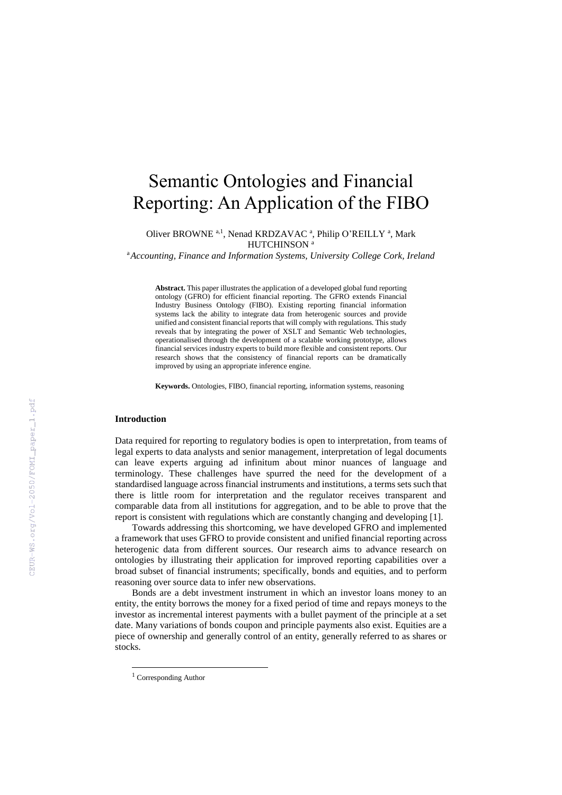# Semantic Ontologies and Financial Reporting: An Application of the FIBO

Oliver BROWNE<sup>a,1</sup>, Nenad KRDZAVAC<sup>a</sup>, Philip O'REILLY<sup>a</sup>, Mark HUTCHINSON<sup>a</sup>

<sup>a</sup>*Accounting, Finance and Information Systems, University College Cork, Ireland*

**Abstract.** This paper illustrates the application of a developed global fund reporting ontology (GFRO) for efficient financial reporting. The GFRO extends Financial Industry Business Ontology (FIBO). Existing reporting financial information systems lack the ability to integrate data from heterogenic sources and provide unified and consistent financial reports that will comply with regulations. This study reveals that by integrating the power of XSLT and Semantic Web technologies, operationalised through the development of a scalable working prototype, allows financial services industry experts to build more flexible and consistent reports. Our research shows that the consistency of financial reports can be dramatically improved by using an appropriate inference engine.

**Keywords.** Ontologies, FIBO, financial reporting, information systems, reasoning

## **Introduction**

Data required for reporting to regulatory bodies is open to interpretation, from teams of legal experts to data analysts and senior management, interpretation of legal documents can leave experts arguing ad infinitum about minor nuances of language and terminology. These challenges have spurred the need for the development of a standardised language across financial instruments and institutions, a terms sets such that there is little room for interpretation and the regulator receives transparent and comparable data from all institutions for aggregation, and to be able to prove that the report is consistent with regulations which are constantly changing and developing [1].

Towards addressing this shortcoming, we have developed GFRO and implemented a framework that uses GFRO to provide consistent and unified financial reporting across heterogenic data from different sources. Our research aims to advance research on ontologies by illustrating their application for improved reporting capabilities over a broad subset of financial instruments; specifically, bonds and equities, and to perform reasoning over source data to infer new observations.

Bonds are a debt investment instrument in which an investor loans money to an entity, the entity borrows the money for a fixed period of time and repays moneys to the investor as incremental interest payments with a bullet payment of the principle at a set date. Many variations of bonds coupon and principle payments also exist. Equities are a piece of ownership and generally control of an entity, generally referred to as shares or stocks.

1

<sup>1</sup> Corresponding Author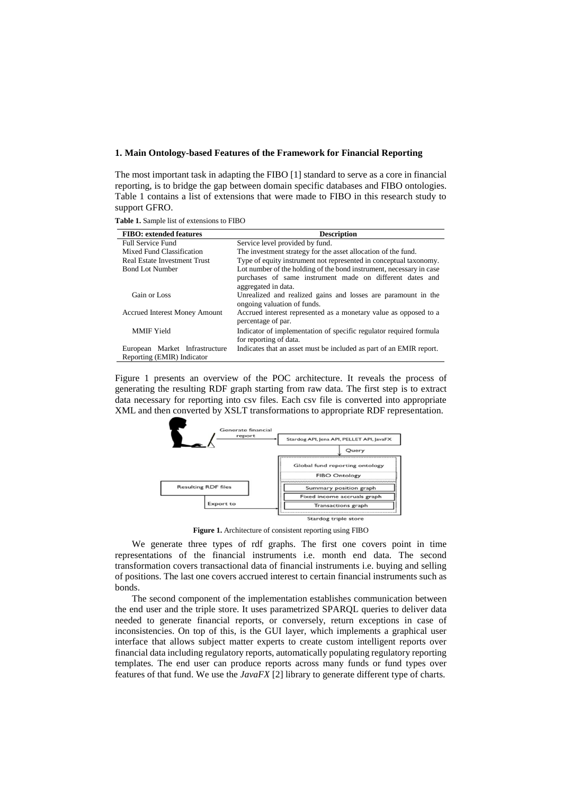#### **1. Main Ontology-based Features of the Framework for Financial Reporting**

The most important task in adapting the FIBO [1] standard to serve as a core in financial reporting, is to bridge the gap between domain specific databases and FIBO ontologies. Table 1 contains a list of extensions that were made to FIBO in this research study to support GFRO.

| <b>FIBO</b> : extended features                              | <b>Description</b>                                                                                                                                     |  |  |
|--------------------------------------------------------------|--------------------------------------------------------------------------------------------------------------------------------------------------------|--|--|
| <b>Full Service Fund</b>                                     | Service level provided by fund.                                                                                                                        |  |  |
| Mixed Fund Classification                                    | The investment strategy for the asset allocation of the fund.                                                                                          |  |  |
| <b>Real Estate Investment Trust</b>                          | Type of equity instrument not represented in conceptual taxonomy.                                                                                      |  |  |
| <b>Bond Lot Number</b>                                       | Lot number of the holding of the bond instrument, necessary in case<br>purchases of same instrument made on different dates and<br>aggregated in data. |  |  |
| Gain or Loss                                                 | Unrealized and realized gains and losses are paramount in the<br>ongoing valuation of funds.                                                           |  |  |
| <b>Accrued Interest Money Amount</b>                         | Accrued interest represented as a monetary value as opposed to a<br>percentage of par.                                                                 |  |  |
| <b>MMIF</b> Yield                                            | Indicator of implementation of specific regulator required formula<br>for reporting of data.                                                           |  |  |
| European Market Infrastructure<br>Reporting (EMIR) Indicator | Indicates that an asset must be included as part of an EMIR report.                                                                                    |  |  |

**Table 1.** Sample list of extensions to FIBO

Figure 1 presents an overview of the POC architecture. It reveals the process of generating the resulting RDF graph starting from raw data. The first step is to extract data necessary for reporting into csv files. Each csv file is converted into appropriate XML and then converted by XSLT transformations to appropriate RDF representation.



**Figure 1.** Architecture of consistent reporting using FIBO

We generate three types of rdf graphs. The first one covers point in time representations of the financial instruments i.e. month end data. The second transformation covers transactional data of financial instruments i.e. buying and selling of positions. The last one covers accrued interest to certain financial instruments such as bonds.

The second component of the implementation establishes communication between the end user and the triple store. It uses parametrized SPARQL queries to deliver data needed to generate financial reports, or conversely, return exceptions in case of inconsistencies. On top of this, is the GUI layer, which implements a graphical user interface that allows subject matter experts to create custom intelligent reports over financial data including regulatory reports, automatically populating regulatory reporting templates. The end user can produce reports across many funds or fund types over features of that fund. We use the *JavaFX* [2] library to generate different type of charts.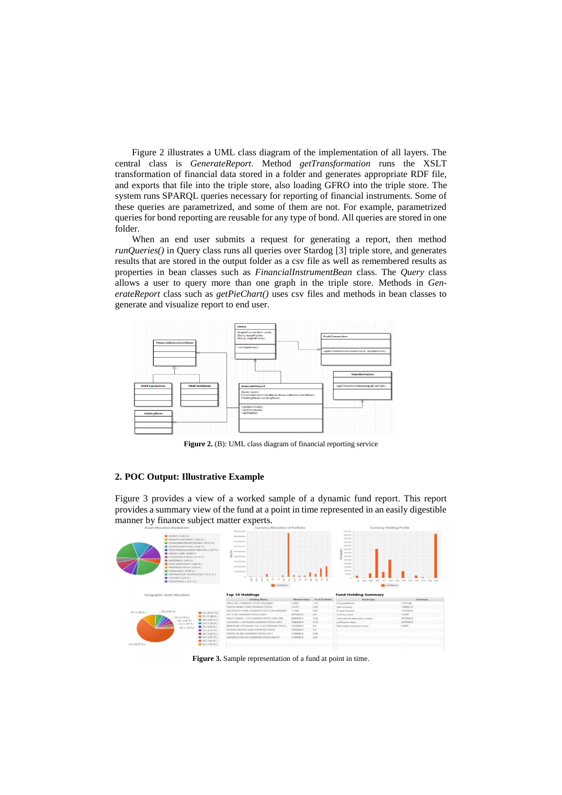Figure 2 illustrates a UML class diagram of the implementation of all layers. The central class is *GenerateReport*. Method *getTransformation* runs the XSLT transformation of financial data stored in a folder and generates appropriate RDF file, and exports that file into the triple store, also loading GFRO into the triple store. The system runs SPARQL queries necessary for reporting of financial instruments. Some of these queries are parametrized, and some of them are not. For example, parametrized queries for bond reporting are reusable for any type of bond. All queries are stored in one folder.

When an end user submits a request for generating a report, then method *runQueries()* in Query class runs all queries over Stardog [3] triple store, and generates results that are stored in the output folder as a csv file as well as remembered results as properties in bean classes such as *FinancialInstrumentBean* class. The *Query* class allows a user to query more than one graph in the triple store. Methods in *GenerateReport* class such as *getPieChart()* uses csv files and methods in bean classes to generate and visualize report to end user.



**Figure 2.** (B): UML class diagram of financial reporting service

## **2. POC Output: Illustrative Example**

Figure 3 provides a view of a worked sample of a dynamic fund report. This report provides a summary view of the fund at a point in time represented in an easily digestible manner by finance subject matter experts.

| Asset Allocation Breakdown                                                                                                                                                                                                       |                                                                                                                                                                                                             | Currency Allocation of Portfolio                                                                                                                     |                     | Currency Holding Profile |                                                                                                                                                                     |                |
|----------------------------------------------------------------------------------------------------------------------------------------------------------------------------------------------------------------------------------|-------------------------------------------------------------------------------------------------------------------------------------------------------------------------------------------------------------|------------------------------------------------------------------------------------------------------------------------------------------------------|---------------------|--------------------------|---------------------------------------------------------------------------------------------------------------------------------------------------------------------|----------------|
| $P$ ENERGY (5.66%)<br>HEALTH CARE ( 8.28 %)<br><b>B MATERIALS ( 5.05 % )</b><br>CASH EQUIVALENT ( 0.00 % )<br><b>PREFERRED STOCK ( 0.00 %)</b><br>FINANCIALS ( 19.20 % )<br>UTLITRES (2.64% )<br>$\bullet$ INDUSTRIALS (13.51 %) | PRIVATE PLACEMENT ( 0.02 % )<br>CONSUMER DISCRETIONARY ( 20.72 % )<br>COMMINGLED FUND ( 0.00 %)<br>TELECOMMUNICATION SERVICES ( 3.47 % )<br>CONSUMER STAPLES ( B.14 % )<br>INFORMATION TECHNOLOGY (13.31 %) | 900,000,000<br>hóti pod bos<br>700.000.000<br>600,000,000<br>\$00,000,000<br>400,000,000<br>add post por<br>209 009 009<br>100,000,000<br>0.714<br>吾 |                     |                          | 850,000<br>000,000<br>\$50,000<br>\$50,000<br>450,000<br>400,000<br>310,000<br>300,000<br>250,000<br>200,000<br>150,000<br>100,000<br>10,000<br>8.5<br>DAIR.<br>SGD |                |
|                                                                                                                                                                                                                                  |                                                                                                                                                                                                             | <b>CURRENCY</b>                                                                                                                                      |                     |                          | <b>EL</b> CURRENCY                                                                                                                                                  |                |
| Geographic Asset Allocation                                                                                                                                                                                                      |                                                                                                                                                                                                             |                                                                                                                                                      |                     |                          |                                                                                                                                                                     |                |
|                                                                                                                                                                                                                                  |                                                                                                                                                                                                             | <b>Top 10 Holdings</b>                                                                                                                               |                     |                          | <b>Fund Holding Summary</b>                                                                                                                                         |                |
|                                                                                                                                                                                                                                  |                                                                                                                                                                                                             | <b>Holding Name</b>                                                                                                                                  | <b>Market Value</b> | % of Portfolio           | Asset type                                                                                                                                                          | <b>Summary</b> |
|                                                                                                                                                                                                                                  |                                                                                                                                                                                                             | APPLE INC COMMON STOCK USD 00001                                                                                                                     | 2,5967              | T.72                     | CorporateBond                                                                                                                                                       | 12523.06       |
|                                                                                                                                                                                                                                  |                                                                                                                                                                                                             | EXXON MOBIL CORP COMMON STOCK                                                                                                                        | 1,4187              | 0.93.                    | cash currency                                                                                                                                                       | 158693.25      |
| $(GB(5.96\%)$<br>$IB$ (11.98%) =                                                                                                                                                                                                 |                                                                                                                                                                                                             | MICROSOFT CORP COMMON STOCK USD.00000625                                                                                                             | 1,3368              | 8.81                     | fx spot contract                                                                                                                                                    | 1570000.0      |
|                                                                                                                                                                                                                                  | U5(63.07%<br>$99 (11.98 \% )$                                                                                                                                                                               | AT+T INC COMMON STOCK USD1.                                                                                                                          | 9070000.0           | 0.6                      | ordinary share                                                                                                                                                      | 1,4509         |
| $-CA(A,1A,2A)$                                                                                                                                                                                                                   | $@68(5.96\%)$                                                                                                                                                                                               | WELLS FARGO + CO COMMON STOCK USD1.666                                                                                                               | 8890000.0           | 0.59                     | international depositary receipt.                                                                                                                                   | 5010000.0      |
|                                                                                                                                                                                                                                  | DE (3.42 %)<br>$0$ CH (3.20%)<br>$A0 (2.87 \% )$                                                                                                                                                            | JOHNSON - JOHNSON COMMON STOCK USD1.                                                                                                                 | 7990000.0           | 0.53                     | preference share                                                                                                                                                    | 2070000.0      |
|                                                                                                                                                                                                                                  | 97R (2.63%)<br>$-NL(1.33\% )$                                                                                                                                                                               | BERKSHIRE HATHAWAY INC CL B COMMON STOCK.                                                                                                            | 7620000.0           | 0.5                      | Real estate investment trust                                                                                                                                        | 4.9587         |
|                                                                                                                                                                                                                                  | CAC4.14%                                                                                                                                                                                                    | TOYOTA MOTOR CORP COMMON STOCK                                                                                                                       | 7600000.0           | 0.5                      |                                                                                                                                                                     |                |
|                                                                                                                                                                                                                                  | $D E (3.42 \%)$                                                                                                                                                                                             | NESTLE SA REG COMMON STOCK CHF  1                                                                                                                    | 7340000.0           | 0.40                     |                                                                                                                                                                     |                |
|                                                                                                                                                                                                                                  | $AL(2.87\%)$                                                                                                                                                                                                | AMAZON.COM INC COMMON STOCK USD.01                                                                                                                   | 7120000.0           | 0.47                     |                                                                                                                                                                     |                |
|                                                                                                                                                                                                                                  | 958(1.40%                                                                                                                                                                                                   |                                                                                                                                                      |                     |                          |                                                                                                                                                                     |                |
| US ( 63.07 % ) =                                                                                                                                                                                                                 | $N1.1133\%$                                                                                                                                                                                                 |                                                                                                                                                      |                     |                          |                                                                                                                                                                     |                |

**Figure 3.** Sample representation of a fund at point in time.